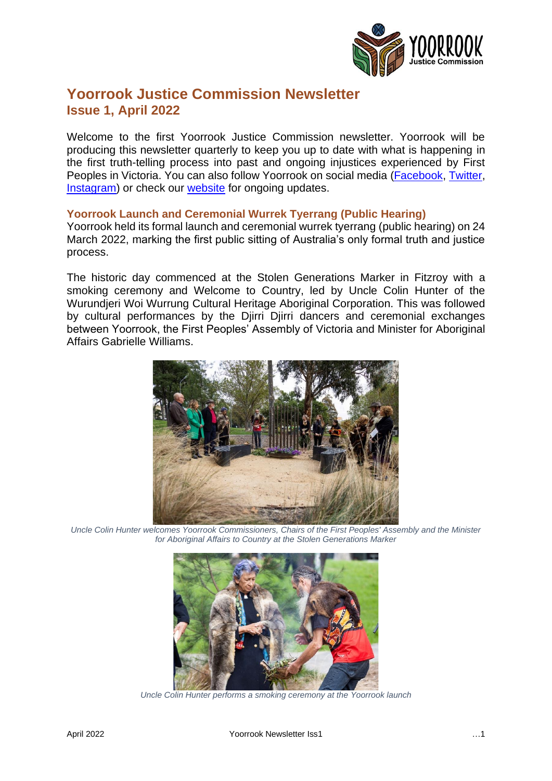

# **Yoorrook Justice Commission Newsletter Issue 1, April 2022**

Welcome to the first Yoorrook Justice Commission newsletter. Yoorrook will be producing this newsletter quarterly to keep you up to date with what is happening in the first truth-telling process into past and ongoing injustices experienced by First Peoples in Victoria. You can also follow Yoorrook on social media [\(Facebook,](http://www.facebook.com/YoorrookJusticeCommission) [Twitter,](https://twitter.com/yoorrookjc) [Instagram\)](https://www.instagram.com/yoorrook/) or check our [website](http://www.yoorrookjusticecommission.org.au/) for ongoing updates.

## **Yoorrook Launch and Ceremonial Wurrek Tyerrang (Public Hearing)**

Yoorrook held its formal launch and ceremonial wurrek tyerrang (public hearing) on 24 March 2022, marking the first public sitting of Australia's only formal truth and justice process.

The historic day commenced at the Stolen Generations Marker in Fitzroy with a smoking ceremony and Welcome to Country, led by Uncle Colin Hunter of the Wurundjeri Woi Wurrung Cultural Heritage Aboriginal Corporation. This was followed by cultural performances by the Djirri Djirri dancers and ceremonial exchanges between Yoorrook, the First Peoples' Assembly of Victoria and Minister for Aboriginal Affairs Gabrielle Williams.



*Uncle Colin Hunter welcomes Yoorrook Commissioners, Chairs of the First Peoples' Assembly and the Minister for Aboriginal Affairs to Country at the Stolen Generations Marker*



*Uncle Colin Hunter performs a smoking ceremony at the Yoorrook launch*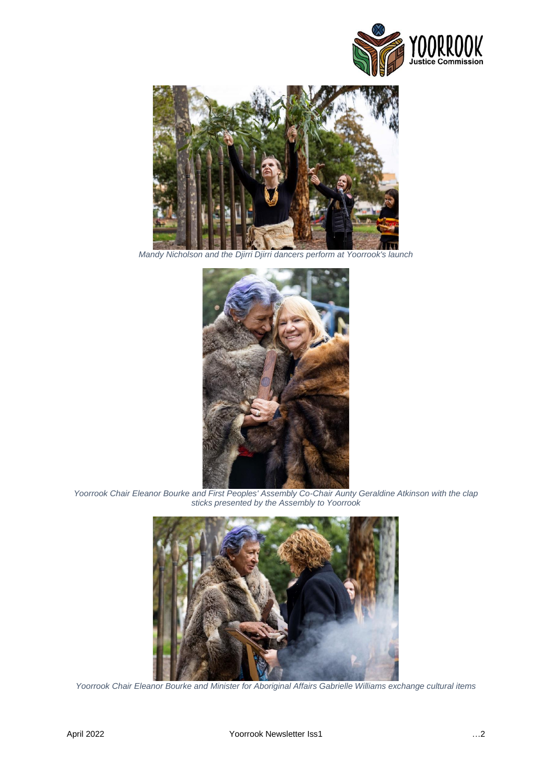



*Mandy Nicholson and the Djirri Djirri dancers perform at Yoorrook's launch*



*Yoorrook Chair Eleanor Bourke and First Peoples' Assembly Co-Chair Aunty Geraldine Atkinson with the clap sticks presented by the Assembly to Yoorrook*



*Yoorrook Chair Eleanor Bourke and Minister for Aboriginal Affairs Gabrielle Williams exchange cultural items*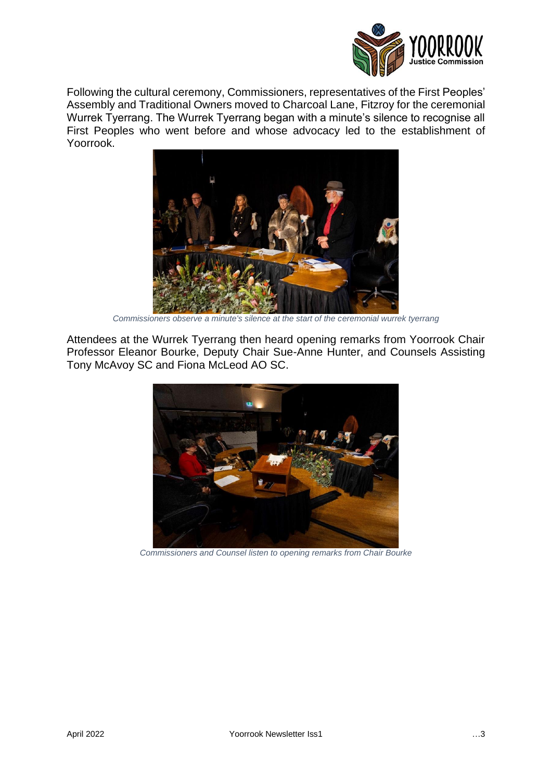

Following the cultural ceremony, Commissioners, representatives of the First Peoples' Assembly and Traditional Owners moved to Charcoal Lane, Fitzroy for the ceremonial Wurrek Tyerrang. The Wurrek Tyerrang began with a minute's silence to recognise all First Peoples who went before and whose advocacy led to the establishment of Yoorrook.



*Commissioners observe a minute's silence at the start of the ceremonial wurrek tyerrang*

Attendees at the Wurrek Tyerrang then heard opening remarks from Yoorrook Chair Professor Eleanor Bourke, Deputy Chair Sue-Anne Hunter, and Counsels Assisting Tony McAvoy SC and Fiona McLeod AO SC.



*Commissioners and Counsel listen to opening remarks from Chair Bourke*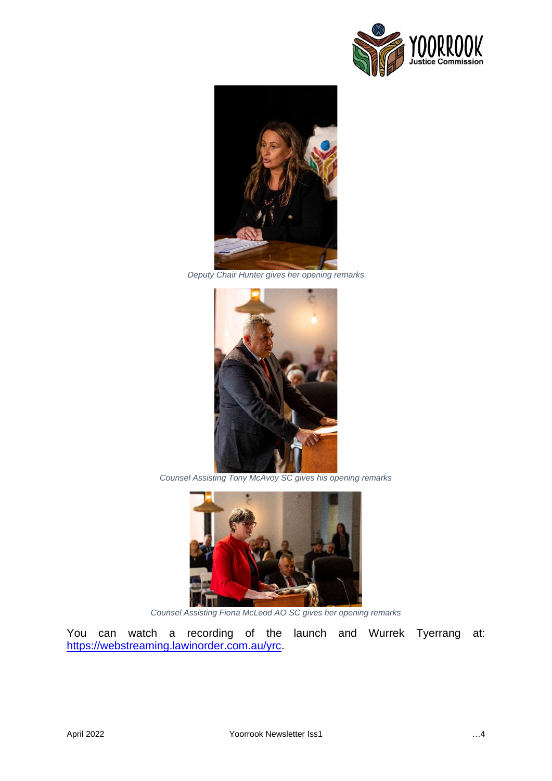



*Deputy Chair Hunter gives her opening remarks*



*Counsel Assisting Tony McAvoy SC gives his opening remarks*



*Counsel Assisting Fiona McLeod AO SC gives her opening remarks*

You can watch a recording of the launch and Wurrek Tyerrang at: [https://webstreaming.lawinorder.com.au/yrc.](https://webstreaming.lawinorder.com.au/yrc)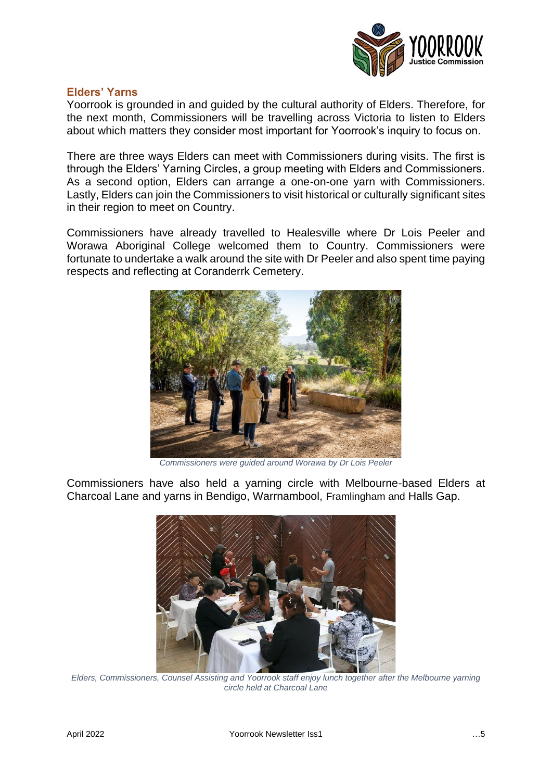

### **Elders' Yarns**

Yoorrook is grounded in and guided by the cultural authority of Elders. Therefore, for the next month, Commissioners will be travelling across Victoria to listen to Elders about which matters they consider most important for Yoorrook's inquiry to focus on.

There are three ways Elders can meet with Commissioners during visits. The first is through the Elders' Yarning Circles, a group meeting with Elders and Commissioners. As a second option, Elders can arrange a one-on-one yarn with Commissioners. Lastly, Elders can join the Commissioners to visit historical or culturally significant sites in their region to meet on Country.

Commissioners have already travelled to Healesville where Dr Lois Peeler and Worawa Aboriginal College welcomed them to Country. Commissioners were fortunate to undertake a walk around the site with Dr Peeler and also spent time paying respects and reflecting at Coranderrk Cemetery.



*Commissioners were guided around Worawa by Dr Lois Peeler*

Commissioners have also held a yarning circle with Melbourne-based Elders at Charcoal Lane and yarns in Bendigo, Warrnambool, Framlingham and Halls Gap.



*Elders, Commissioners, Counsel Assisting and Yoorrook staff enjoy lunch together after the Melbourne yarning circle held at Charcoal Lane*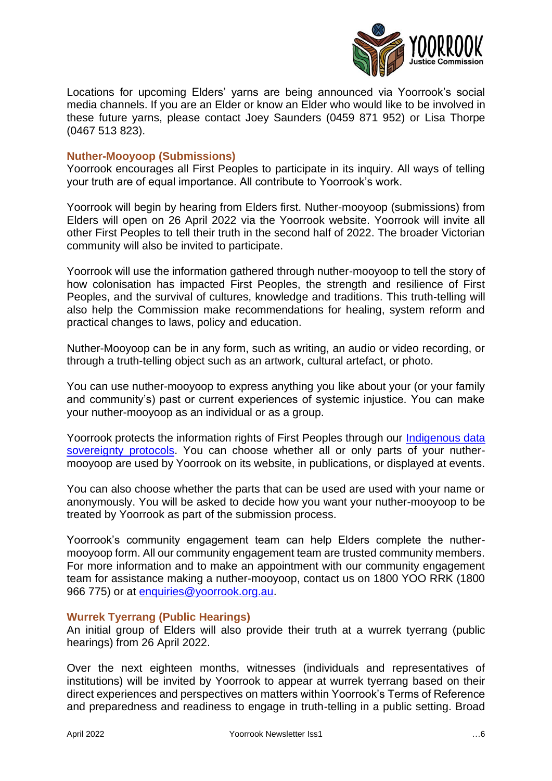

Locations for upcoming Elders' yarns are being announced via Yoorrook's social media channels. If you are an Elder or know an Elder who would like to be involved in these future yarns, please contact Joey Saunders (0459 871 952) or Lisa Thorpe (0467 513 823).

## **Nuther-Mooyoop (Submissions)**

Yoorrook encourages all First Peoples to participate in its inquiry. All ways of telling your truth are of equal importance. All contribute to Yoorrook's work.

Yoorrook will begin by hearing from Elders first. Nuther-mooyoop (submissions) from Elders will open on 26 April 2022 via the Yoorrook website. Yoorrook will invite all other First Peoples to tell their truth in the second half of 2022. The broader Victorian community will also be invited to participate.

Yoorrook will use the information gathered through nuther-mooyoop to tell the story of how colonisation has impacted First Peoples, the strength and resilience of First Peoples, and the survival of cultures, knowledge and traditions. This truth-telling will also help the Commission make recommendations for healing, system reform and practical changes to laws, policy and education.

Nuther-Mooyoop can be in any form, such as writing, an audio or video recording, or through a truth-telling object such as an artwork, cultural artefact, or photo.

You can use nuther-mooyoop to express anything you like about your (or your family and community's) past or current experiences of systemic injustice. You can make your nuther-mooyoop as an individual or as a group.

Yoorrook protects the information rights of First Peoples through our Indigenous data [sovereignty protocols.](https://yoorrookjusticecommission.org.au/wp-content/uploads/2022/03/032322_Yoorrook_DataSovereigntyGuidance.pdf) You can choose whether all or only parts of your nuthermooyoop are used by Yoorrook on its website, in publications, or displayed at events.

You can also choose whether the parts that can be used are used with your name or anonymously. You will be asked to decide how you want your nuther-mooyoop to be treated by Yoorrook as part of the submission process.

Yoorrook's community engagement team can help Elders complete the nuthermooyoop form. All our community engagement team are trusted community members. For more information and to make an appointment with our community engagement team for assistance making a nuther-mooyoop, contact us on 1800 YOO RRK (1800 966 775) or at [enquiries@yoorrook.org.au.](mailto:enquiries@yoorrook.org.au)

### **Wurrek Tyerrang (Public Hearings)**

An initial group of Elders will also provide their truth at a wurrek tyerrang (public hearings) from 26 April 2022.

Over the next eighteen months, witnesses (individuals and representatives of institutions) will be invited by Yoorrook to appear at wurrek tyerrang based on their direct experiences and perspectives on matters within Yoorrook's Terms of Reference and preparedness and readiness to engage in truth-telling in a public setting. Broad